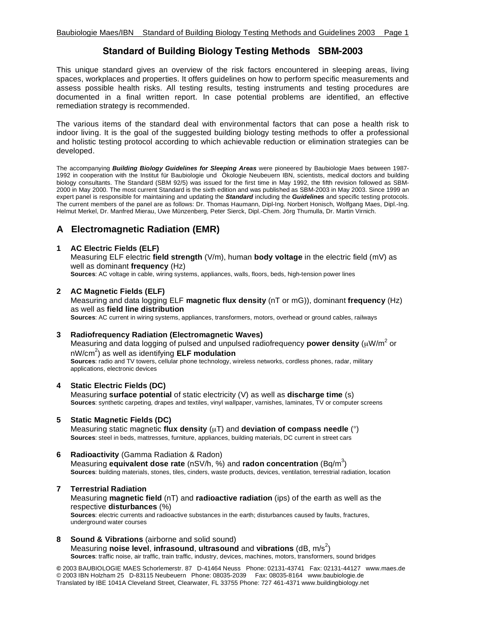# **Standard of Building Biology Testing Methods SBM-2003**

This unique standard gives an overview of the risk factors encountered in sleeping areas, living spaces, workplaces and properties. It offers guidelines on how to perform specific measurements and assess possible health risks. All testing results, testing instruments and testing procedures are documented in a final written report. In case potential problems are identified, an effective remediation strategy is recommended.

The various items of the standard deal with environmental factors that can pose a health risk to indoor living. It is the goal of the suggested building biology testing methods to offer a professional and holistic testing protocol according to which achievable reduction or elimination strategies can be developed.

The accompanying *Building Biology Guidelines for Sleeping Areas* were pioneered by Baubiologie Maes between 1987- 1992 in cooperation with the Institut für Baubiologie und Ökologie Neubeuern IBN, scientists, medical doctors and building biology consultants. The Standard (SBM 92/5) was issued for the first time in May 1992, the fifth revision followed as SBM-2000 in May 2000. The most current Standard is the sixth edition and was published as SBM-2003 in May 2003. Since 1999 an expert panel is responsible for maintaining and updating the *Standard* including the *Guidelines* and specific testing protocols. The current members of the panel are as follows: Dr. Thomas Haumann, Dipl-Ing. Norbert Honisch, Wolfgang Maes, Dipl.-Ing. Helmut Merkel, Dr. Manfred Mierau, Uwe Münzenberg, Peter Sierck, Dipl.-Chem. Jörg Thumulla, Dr. Martin Virnich.

# **A Electromagnetic Radiation (EMR)**

# **1 AC Electric Fields (ELF)**

Measuring ELF electric **field strength** (V/m), human **body voltage** in the electric field (mV) as well as dominant **frequency** (Hz) **Sources**: AC voltage in cable, wiring systems, appliances, walls, floors, beds, high-tension power lines

# **2 AC Magnetic Fields (ELF)**

Measuring and data logging ELF **magnetic flux density** (nT or mG)), dominant **frequency** (Hz) as well as **field line distribution Sources**: AC current in wiring systems, appliances, transformers, motors, overhead or ground cables, railways

# **3 Radiofrequency Radiation (Electromagnetic Waves)**

Measuring and data logging of pulsed and unpulsed radiofrequency **power density** (μW/m<sup>2</sup> or nW/cm2 ) as well as identifying **ELF modulation**

**Sources**: radio and TV towers, cellular phone technology, wireless networks, cordless phones, radar, military applications, electronic devices

# **4 Static Electric Fields (DC)**

Measuring **surface potential** of static electricity (V) as well as **discharge time** (s) **Sources**: synthetic carpeting, drapes and textiles, vinyl wallpaper, varnishes, laminates, TV or computer screens

# **5 Static Magnetic Fields (DC)**

Measuring static magnetic **flux density** (μT) and **deviation of compass needle** (°) **Sources**: steel in beds, mattresses, furniture, appliances, building materials, DC current in street cars

# **6 Radioactivity** (Gamma Radiation & Radon)

Measuring **equivalent dose rate** (nSV/h, %) and radon concentration (Bq/m<sup>3</sup>) **Sources**: building materials, stones, tiles, cinders, waste products, devices, ventilation, terrestrial radiation, location

# **7 Terrestrial Radiation**

Measuring **magnetic field** (nT) and **radioactive radiation** (ips) of the earth as well as the respective **disturbances** (%) **Sources**: electric currents and radioactive substances in the earth; disturbances caused by faults, fractures, underground water courses

#### **8 Sound & Vibrations** (airborne and solid sound)

Measuring noise level, infrasound, ultrasound and vibrations (dB, m/s<sup>2</sup>)

**Sources**: traffic noise, air traffic, train traffic, industry, devices, machines, motors, transformers, sound bridges

**©** 2003 BAUBIOLOGIE MAES Schorlemerstr. 87 D-41464 Neuss Phone: 02131-43741 Fax: 02131-44127 www.maes.de © 2003 IBN Holzham 25 D-83115 Neubeuern Phone: 08035-2039 Fax: 08035-8164 www.baubiologie.de Translated by IBE 1041A Cleveland Street, Clearwater, FL 33755 Phone: 727 461-4371 www.buildingbiology.net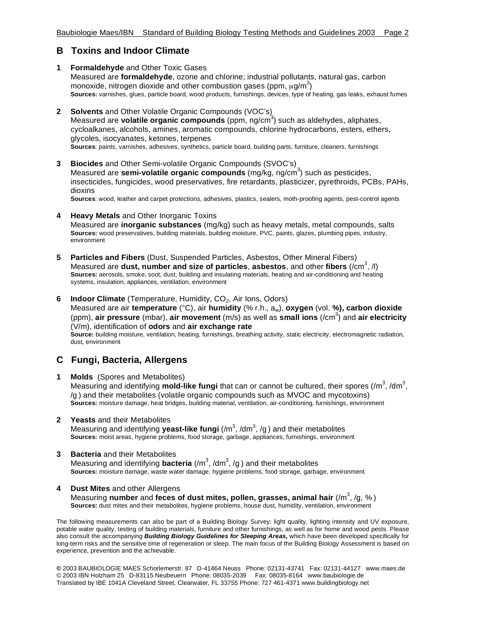# **B Toxins and Indoor Climate**

- **1 Formaldehyde** and Other Toxic Gases Measured are **formaldehyde**, ozone and chlorine; industrial pollutants, natural gas, carbon monoxide, nitrogen dioxide and other combustion gases (ppm,  $\mu$ g/m $^3)$ **Sources:** varnishes, glues, particle board, wood products, furnishings, devices, type of heating, gas leaks, exhaust fumes
- **2 Solvents** and Other Volatile Organic Compounds (VOC's) Measured are **volatile organic compounds** (ppm, ng/cm<sup>3</sup>) such as aldehydes, aliphates, cycloalkanes, alcohols, amines, aromatic compounds, chlorine hydrocarbons, esters, ethers, glycoles, isocyanates, ketones, terpenes **Sources**: paints, varnishes, adhesives, synthetics, particle board, building parts, furniture, cleaners, furnishings
- **3 Biocides** and Other Semi-volatile Organic Compounds (SVOC's) Measured are semi-volatile organic compounds (mg/kg, ng/cm<sup>3</sup>) such as pesticides, insecticides, fungicides, wood preservatives, fire retardants, plasticizer, pyrethroids, PCBs, PAHs, dioxins

**Sources**: wood, leather and carpet protections, adhesives, plastics, sealers, moth-proofing agents, pest-control agents

- **4 Heavy Metals** and Other Inorganic Toxins Measured are **inorganic substances** (mg/kg) such as heavy metals, metal compounds, salts **Sources:** wood preservatives, building materials, building moisture, PVC, paints, glazes, plumbing pipes, industry, environment
- **5 Particles and Fibers** (Dust, Suspended Particles, Asbestos, Other Mineral Fibers) Measured are dust, number and size of particles, asbestos, and other fibers (/cm<sup>3</sup>, /l) **Sources:** aerosols, smoke, soot, dust, building and insulating materials, heating and air-conditioning and heating systems, insulation, appliances, ventilation, environment
- **6 Indoor Climate** (Temperature, Humidity, CO<sub>2</sub>, Air Ions, Odors) Measured are air **temperature** (°C), air **humidity** (% r.h., aw), **oxygen** (vol. **%), carbon dioxide** (ppm), **air pressure** (mbar), **air movement** (m/s) as well as **small ions** (/cm3 ) and **air electricity** (V/m), identification of **odors** and **air exchange rate Source:** building moisture, ventilation, heating, furnishings, breathing activity, static electricity, electromagnetic radiation, dust, environment

# **C Fungi, Bacteria, Allergens**

- **1 Molds** (Spores and Metabolites) Measuring and identifying **mold-like fungi** that can or cannot be cultured, their spores (/m<sup>3</sup>, /dm<sup>3</sup>, /g ) and their metabolites (volatile organic compounds such as MVOC and mycotoxins) **Sources:** moisture damage, heat bridges, building material, ventilation, air-conditioning, furnishings, environment
- **2 Yeasts** and their Metabolites Measuring and identifying **yeast-like fungi** (/m<sup>3</sup>, /dm<sup>3</sup>, /g ) and their metabolites **Sources:** moist areas, hygiene problems, food storage, garbage, appliances, furnishings, environment
- **3 Bacteria** and their Metabolites Measuring and identifying **bacteria** (/m<sup>3</sup>, /dm<sup>3</sup>, /g ) and their metabolites **Sources:** moisture damage, waste water damage, hygiene problems, food storage, garbage, environment
- **4 Dust Mites** and other Allergens Measuring **number** and feces of dust mites, pollen, grasses, animal hair (/m<sup>3</sup>, /g, %) **Sources:** dust mites and their metabolites, hygiene problems, house dust, humidity, ventilation, environment

The following measurements can also be part of a Building Biology Survey: light quality, lighting intensity and UV exposure, potable water quality, testing of building materials, furniture and other furnishings, as well as for home and wood pests. Please also consult the accompanying *Building Biology Guidelines for Sleeping Areas***,** which have been developed specifically for long-term risks and the sensitive time of regeneration or sleep. The main focus of the Building Biology Assessment is based on experience, prevention and the achievable.

**©** 2003 BAUBIOLOGIE MAES Schorlemerstr. 87 D-41464 Neuss Phone: 02131-43741 Fax: 02131-44127 www.maes.de © 2003 IBN Holzham 25 D-83115 Neubeuern Phone: 08035-2039 Fax: 08035-8164 www.baubiologie.de Translated by IBE 1041A Cleveland Street, Clearwater, FL 33755 Phone: 727 461-4371 www.buildingbiology.net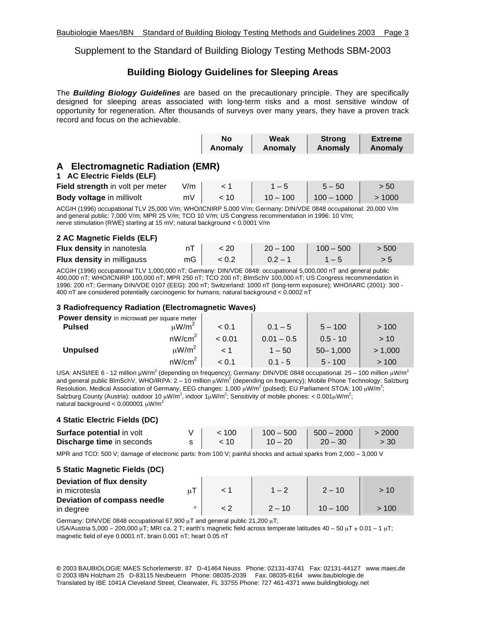Supplement to the Standard of Building Biology Testing Methods SBM-2003

# **Building Biology Guidelines for Sleeping Areas**

The *Building Biology Guidelines* are based on the precautionary principle. They are specifically designed for sleeping areas associated with long-term risks and a most sensitive window of opportunity for regeneration. After thousands of surveys over many years, they have a proven track record and focus on the achievable.

|                                                                 |      | No<br>Anomaly | Weak<br>Anomaly |  | <b>Strong</b><br>Anomaly | <b>Extreme</b><br>Anomaly |  |
|-----------------------------------------------------------------|------|---------------|-----------------|--|--------------------------|---------------------------|--|
| A Electromagnetic Radiation (EMR)<br>1 AC Electric Fields (ELF) |      |               |                 |  |                          |                           |  |
| Field ethenatic in value an motor                               | 11.2 |               |                 |  |                          | $ \sim$ $\sim$            |  |

| Field strength in volt per meter | V/m |      | $1 - 5$    | $5 - 50$     | > 50  |
|----------------------------------|-----|------|------------|--------------|-------|
| <b>Body voltage in millivolt</b> | mV  | 10 > | $10 - 100$ | $100 - 1000$ | >1000 |

ACGIH (1996) occupational TLV 25,000 V/m; WHO/ICNIRP 5,000 V/m; Germany: DIN/VDE 0848 occupational: 20,000 V/m and general public: 7,000 V/m; MPR 25 V/m; TCO 10 V/m; US Congress recommendation in 1996: 10 V/m; nerve stimulation (RWE) starting at 15 mV; natural background < 0.0001 V/m

#### **2 AC Magnetic Fields (ELF)**

| Flux density in nanotesla         |    | < 20  | $20 - 100$ | $100 - 500$ | > 500 |
|-----------------------------------|----|-------|------------|-------------|-------|
| <b>Flux density in milligauss</b> | mG | < 0.2 | $0.2 - 1$  |             |       |

ACGIH (1996) occupational TLV 1,000,000 nT; Germany: DIN/VDE 0848: occupational 5,000,000 nT and general public 400,000 nT; WHO/ICNIRP 100,000 nT; MPR 250 nT; TCO 200 nT; BlmSchV 100,000 nT; US Congress recommendation in 1996: 200 nT; Germany DIN/VDE 0107 (EEG): 200 nT; Switzerland: 1000 nT (long-term exposure); WHO/IARC (2001): 300 - 400 nT are considered potentially carcinogenic for humans; natural background < 0.0002 nT

#### **3 Radiofrequency Radiation (Electromagnetic Waves)**

| <b>Power density</b> in microwatt per square meter |                        |        |              |              |         |
|----------------------------------------------------|------------------------|--------|--------------|--------------|---------|
| <b>Pulsed</b>                                      | $\mu$ W/m <sup>2</sup> | < 0.1  | $0.1 - 5$    | $5 - 100$    | >100    |
|                                                    | nW/cm <sup>2</sup>     | < 0.01 | $0.01 - 0.5$ | $0.5 - 10$   | > 10    |
| <b>Unpulsed</b>                                    | $\mu$ W/m <sup>2</sup> |        | $1 - 50$     | $50 - 1,000$ | > 1,000 |
|                                                    | nW/cm <sup>2</sup>     | < 0.1  | $0.1 - 5$    | $5 - 100$    | >100    |

USA: ANSI/IEE 6 - 12 million µW/m<sup>2</sup> (depending on frequency); Germany: DIN/VDE 0848 occupational: 25 – 100 million µW/m<sup>2</sup> and general public BlmSchV, WHO/IRPA: 2 – 10 million μW/m<sup>2</sup> (depending on frequency); Mobile Phone Technology: Salzburg Resolution, Medical Association of Germany, EEG changes: 1,000  $\mu$ W/m<sup>2</sup> (pulsed); EU Parliament STOA: 100  $\mu$ W/m<sup>2</sup>; Salzburg County (Austria): outdoor 10  $\mu$ W/m<sup>2</sup>, indoor 1 $\mu$ W/m<sup>2</sup>; Sensitivity of mobile phones: < 0.001 $\mu$ W/m<sup>2</sup>; natural background <  $0.000001 \mu$ W/m<sup>2</sup>

# **4 Static Electric Fields (DC)**

| Surface potential in volt        | < 100 |           | $100 - 500$   $500 - 2000$ | > 2000 |
|----------------------------------|-------|-----------|----------------------------|--------|
| <b>Discharge time in seconds</b> | ~10   | $10 - 20$ | $20 - 30$                  | > 30   |

MPR and TCO: 500 V; damage of electronic parts: from 100 V; painful shocks and actual sparks from 2,000 – 3,000 V

#### **5 Static Magnetic Fields (DC)**

| Deviation of flux density<br>in microtesla |  |          | $2 - 10$   | >10  |
|--------------------------------------------|--|----------|------------|------|
| Deviation of compass needle<br>in degree   |  | $2 - 10$ | $10 - 100$ | >100 |

Germany: DIN/VDE 0848 occupational 67,900 μT and general public 21,200 μT;

USA/Austria 5,000 – 200,000 μT; MRI ca. 2 T; earth's magnetic field across temperate latitudes 40 – 50 μT  $\pm$  0.01 – 1 μT; magnetic field of eye 0.0001 nT, brain 0.001 nT; heart 0.05 nT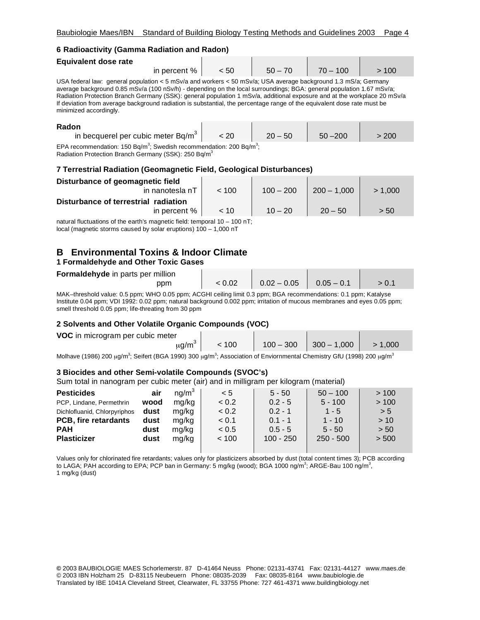### **6 Radioactivity (Gamma Radiation and Radon)**

| Equivalent dose rate                                                                                           |      |           |            |      |
|----------------------------------------------------------------------------------------------------------------|------|-----------|------------|------|
| in percent %                                                                                                   | < 50 | $50 - 70$ | $70 - 100$ | >100 |
| USA federal law: general population < 5 mSv/a and workers < 50 mSv/a; USA average background 1.3 mS/a; Germany |      |           |            |      |

average background 0.85 mSv/a (100 nSv/h) - depending on the local surroundings; BGA: general population 1.67 mSv/a; Radiation Protection Branch Germany (SSK): general population 1 mSv/a, additional exposure and at the workplace 20 mSv/a If deviation from average background radiation is substantial, the percentage range of the equivalent dose rate must be minimized accordingly.

| Radon                                 |      |           |            |       |
|---------------------------------------|------|-----------|------------|-------|
| in becquerel per cubic meter $Bq/m^3$ | < 20 | $20 - 50$ | $50 - 200$ | > 200 |
|                                       |      |           |            |       |

EPA recommendation: 150 Bq/m<sup>3</sup>; Swedish recommendation: 200 Bq/m<sup>3</sup>; Radiation Protection Branch Germany (SSK): 250 Bq/m3

# **7 Terrestrial Radiation (Geomagnetic Field, Geological Disturbances)**

| Disturbance of geomagnetic field<br>in nanotesla nT | ~< 100 | $100 - 200$ | $200 - 1,000$ | > 1.000 |
|-----------------------------------------------------|--------|-------------|---------------|---------|
|                                                     |        |             |               |         |
| Disturbance of terrestrial radiation                |        |             |               |         |
| in percent %                                        | ~10    | $10 - 20$   | $20 - 50$     | > 50    |

natural fluctuations of the earth's magnetic field: temporal 10 – 100 nT; local (magnetic storms caused by solar eruptions) 100 – 1,000 nT

# **B Environmental Toxins & Indoor Climate 1 Formaldehyde and Other Toxic Gases**

# **Formaldehyde** in parts per million

| <b>I</b> UTHRIGUEITYCE IN PARS PET HIMPH |                                     |       |
|------------------------------------------|-------------------------------------|-------|
| ppm                                      | $< 0.02$   0.02 - 0.05   0.05 - 0.1 | > 0.1 |

MAK–threshold value: 0.5 ppm; WHO 0.05 ppm; ACGHI ceiling limit 0.3 ppm; BGA recommendations: 0.1 ppm; Katalyse Institute 0.04 ppm; VDI 1992: 0.02 ppm; natural background 0.002 ppm; irritation of mucous membranes and eyes 0.05 ppm; smell threshold 0.05 ppm; life-threating from 30 ppm

# **2 Solvents and Other Volatile Organic Compounds (VOC)**

| VOC in microgram per cubic meter |       |                           |         |
|----------------------------------|-------|---------------------------|---------|
| $\mu$ g/m <sup>3</sup>           | < 100 | $100 - 300$ $300 - 1,000$ | > 1.000 |
| . 3<br>.<br>-- -                 |       |                           |         |

Molhave (1986) 200 μg/m $^3$ ; Seifert (BGA 1990) 300 μg/m $^3$ ; Association of Enviornmental Chemistry GfU (1998) 200 μg/m $^3$ 

# **3 Biocides and other Semi-volatile Compounds (SVOC's)**

Sum total in nanogram per cubic meter (air) and in milligram per kilogram (material)

| <b>Pesticides</b>            | air  | nq/m <sup>3</sup> | < 5   | $5 - 50$    | $50 - 100$  | >100  |
|------------------------------|------|-------------------|-------|-------------|-------------|-------|
| PCP, Lindane, Permethrin     | wood | mg/kg             | < 0.2 | $0.2 - 5$   | $5 - 100$   | >100  |
| Dichlofluanid, Chlorpyriphos | dust | mg/kg             | < 0.2 | $0.2 - 1$   | $1 - 5$     | > 5   |
| PCB, fire retardants         | dust | mg/kg             | < 0.1 | $0.1 - 1$   | $1 - 10$    | > 10  |
| <b>PAH</b>                   | dust | mg/kg             | < 0.5 | $0.5 - 5$   | $5 - 50$    | > 50  |
| <b>Plasticizer</b>           | dust | mg/kg             | < 100 | $100 - 250$ | $250 - 500$ | > 500 |
|                              |      |                   |       |             |             |       |

Values only for chlorinated fire retardants; values only for plasticizers absorbed by dust (total content times 3); PCB according to LAGA; PAH according to EPA; PCP ban in Germany: 5 mg/kg (wood); BGA 1000 ng/m $^3$ ; ARGE-Bau 100 ng/m $^3$ , 1 mg/kg (dust)